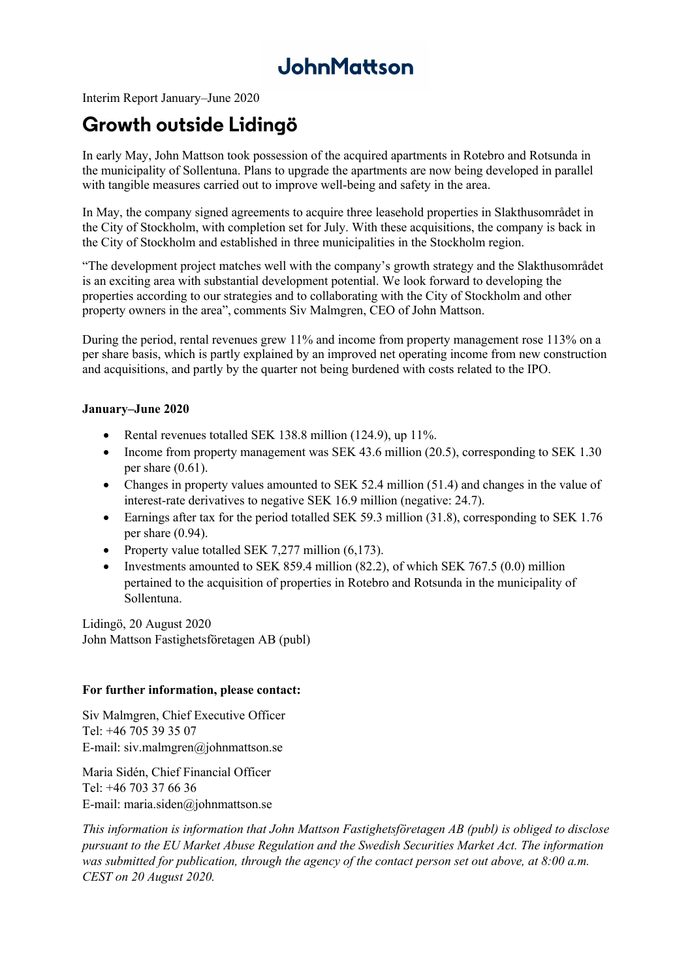# JohnMattson

Interim Report January–June 2020

### **Growth outside Lidingö**

In early May, John Mattson took possession of the acquired apartments in Rotebro and Rotsunda in the municipality of Sollentuna. Plans to upgrade the apartments are now being developed in parallel with tangible measures carried out to improve well-being and safety in the area.

In May, the company signed agreements to acquire three leasehold properties in Slakthusområdet in the City of Stockholm, with completion set for July. With these acquisitions, the company is back in the City of Stockholm and established in three municipalities in the Stockholm region.

"The development project matches well with the company's growth strategy and the Slakthusområdet is an exciting area with substantial development potential. We look forward to developing the properties according to our strategies and to collaborating with the City of Stockholm and other property owners in the area", comments Siv Malmgren, CEO of John Mattson.

During the period, rental revenues grew 11% and income from property management rose 113% on a per share basis, which is partly explained by an improved net operating income from new construction and acquisitions, and partly by the quarter not being burdened with costs related to the IPO.

### **January–June 2020**

- Rental revenues totalled SEK 138.8 million (124.9), up 11%.
- Income from property management was SEK 43.6 million (20.5), corresponding to SEK 1.30 per share  $(0.61)$ .
- Changes in property values amounted to SEK 52.4 million (51.4) and changes in the value of interest-rate derivatives to negative SEK 16.9 million (negative: 24.7).
- Earnings after tax for the period totalled SEK 59.3 million (31.8), corresponding to SEK 1.76 per share (0.94).
- Property value totalled SEK 7,277 million (6,173).
- Investments amounted to SEK 859.4 million  $(82.2)$ , of which SEK 767.5  $(0.0)$  million pertained to the acquisition of properties in Rotebro and Rotsunda in the municipality of Sollentuna.

Lidingö, 20 August 2020 John Mattson Fastighetsföretagen AB (publ)

#### **For further information, please contact:**

Siv Malmgren, Chief Executive Officer Tel: +46 705 39 35 07 E-mail: siv.malmgren@johnmattson.se

Maria Sidén, Chief Financial Officer Tel: +46 703 37 66 36 E-mail: maria.siden@johnmattson.se

*This information is information that John Mattson Fastighetsföretagen AB (publ) is obliged to disclose pursuant to the EU Market Abuse Regulation and the Swedish Securities Market Act. The information was submitted for publication, through the agency of the contact person set out above, at 8:00 a.m. CEST on 20 August 2020.*